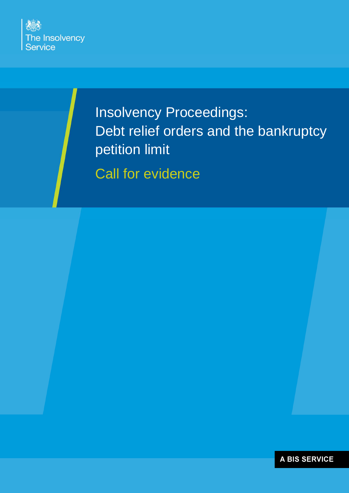

Insolvency Proceedings: Debt relief orders and the bankruptcy petition limit

Call for evidence

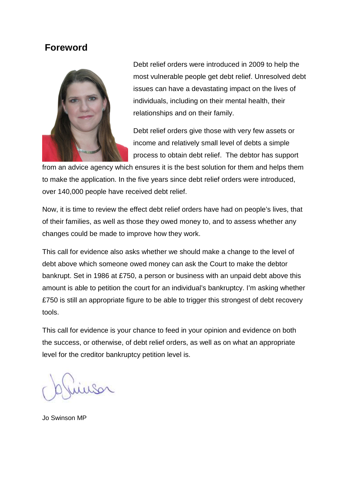# **Foreword**



Debt relief orders were introduced in 2009 to help the most vulnerable people get debt relief. Unresolved debt issues can have a devastating impact on the lives of individuals, including on their mental health, their relationships and on their family.

Debt relief orders give those with very few assets or income and relatively small level of debts a simple process to obtain debt relief. The debtor has support

from an advice agency which ensures it is the best solution for them and helps them to make the application. In the five years since debt relief orders were introduced, over 140,000 people have received debt relief.

Now, it is time to review the effect debt relief orders have had on people's lives, that of their families, as well as those they owed money to, and to assess whether any changes could be made to improve how they work.

This call for evidence also asks whether we should make a change to the level of debt above which someone owed money can ask the Court to make the debtor bankrupt. Set in 1986 at £750, a person or business with an unpaid debt above this amount is able to petition the court for an individual's bankruptcy. I'm asking whether £750 is still an appropriate figure to be able to trigger this strongest of debt recovery tools.

This call for evidence is your chance to feed in your opinion and evidence on both the success, or otherwise, of debt relief orders, as well as on what an appropriate level for the creditor bankruptcy petition level is.

Jo Swinson MP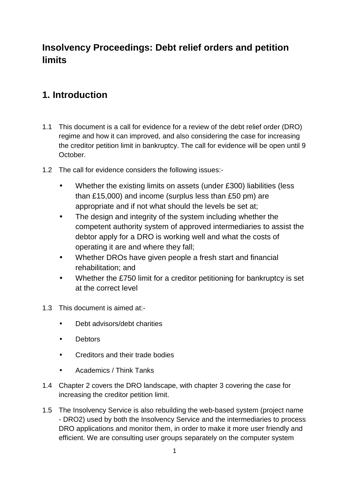# **Insolvency Proceedings: Debt relief orders and petition limits**

# **1. Introduction**

- 1.1 This document is a call for evidence for a review of the debt relief order (DRO) regime and how it can improved, and also considering the case for increasing the creditor petition limit in bankruptcy. The call for evidence will be open until 9 October.
- 1.2 The call for evidence considers the following issues:-
	- Whether the existing limits on assets (under £300) liabilities (less than £15,000) and income (surplus less than £50 pm) are appropriate and if not what should the levels be set at;
	- The design and integrity of the system including whether the competent authority system of approved intermediaries to assist the debtor apply for a DRO is working well and what the costs of operating it are and where they fall;
	- Whether DROs have given people a fresh start and financial rehabilitation; and
	- Whether the £750 limit for a creditor petitioning for bankruptcy is set at the correct level
- 1.3 This document is aimed at:-
	- Debt advisors/debt charities
	- Debtors
	- Creditors and their trade bodies
	- Academics / Think Tanks
- 1.4 Chapter 2 covers the DRO landscape, with chapter 3 covering the case for increasing the creditor petition limit.
- 1.5 The Insolvency Service is also rebuilding the web-based system (project name - DRO2) used by both the Insolvency Service and the intermediaries to process DRO applications and monitor them, in order to make it more user friendly and efficient. We are consulting user groups separately on the computer system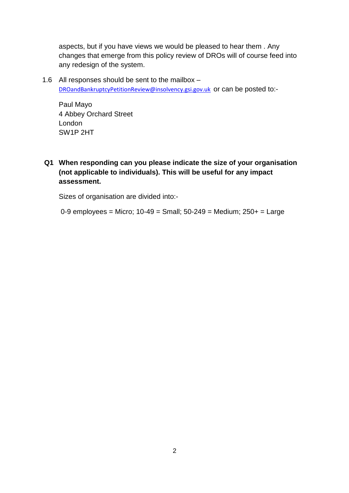aspects, but if you have views we would be pleased to hear them . Any changes that emerge from this policy review of DROs will of course feed into any redesign of the system.

1.6 All responses should be sent to the mailbox – DROandBankruptcyPetitionReview@insolvency.gsi.gov.uk or can be posted to:-

Paul Mayo 4 Abbey Orchard Street London SW1P 2HT

**Q1 When responding can you please indicate the size of your organisation (not applicable to individuals). This will be useful for any impact assessment.** 

Sizes of organisation are divided into:-

 $0-9$  employees = Micro;  $10-49$  = Small;  $50-249$  = Medium;  $250+$  = Large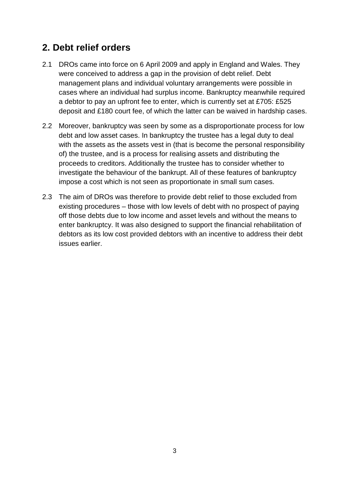# **2. Debt relief orders**

- 2.1 DROs came into force on 6 April 2009 and apply in England and Wales. They were conceived to address a gap in the provision of debt relief. Debt management plans and individual voluntary arrangements were possible in cases where an individual had surplus income. Bankruptcy meanwhile required a debtor to pay an upfront fee to enter, which is currently set at £705: £525 deposit and £180 court fee, of which the latter can be waived in hardship cases.
- 2.2 Moreover, bankruptcy was seen by some as a disproportionate process for low debt and low asset cases. In bankruptcy the trustee has a legal duty to deal with the assets as the assets vest in (that is become the personal responsibility of) the trustee, and is a process for realising assets and distributing the proceeds to creditors. Additionally the trustee has to consider whether to investigate the behaviour of the bankrupt. All of these features of bankruptcy impose a cost which is not seen as proportionate in small sum cases.
- 2.3 The aim of DROs was therefore to provide debt relief to those excluded from existing procedures – those with low levels of debt with no prospect of paying off those debts due to low income and asset levels and without the means to enter bankruptcy. It was also designed to support the financial rehabilitation of debtors as its low cost provided debtors with an incentive to address their debt issues earlier.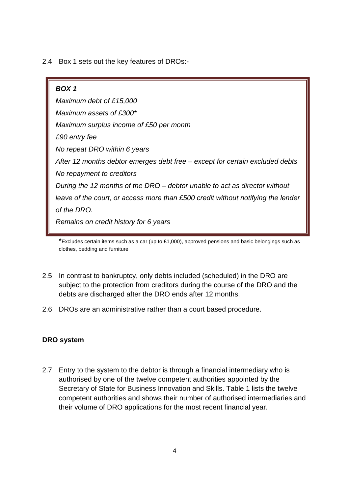2.4 Box 1 sets out the key features of DROs:-

**BOX 1**  Maximum debt of £15,000 Maximum assets of £300\* Maximum surplus income of £50 per month £90 entry fee No repeat DRO within 6 years After 12 months debtor emerges debt free – except for certain excluded debts No repayment to creditors During the 12 months of the DRO – debtor unable to act as director without leave of the court, or access more than £500 credit without notifying the lender of the DRO. Remains on credit history for 6 years

 $*$ Excludes certain items such as a car (up to £1,000), approved pensions and basic belongings such as clothes, bedding and furniture

- 2.5 In contrast to bankruptcy, only debts included (scheduled) in the DRO are subject to the protection from creditors during the course of the DRO and the debts are discharged after the DRO ends after 12 months.
- 2.6 DROs are an administrative rather than a court based procedure.

## **DRO system**

2.7 Entry to the system to the debtor is through a financial intermediary who is authorised by one of the twelve competent authorities appointed by the Secretary of State for Business Innovation and Skills. Table 1 lists the twelve competent authorities and shows their number of authorised intermediaries and their volume of DRO applications for the most recent financial year.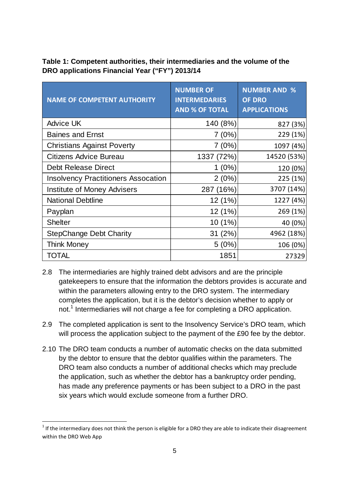**Table 1: Competent authorities, their intermediaries and the volume of the DRO applications Financial Year ("FY") 2013/14** 

| <b>NAME OF COMPETENT AUTHORITY</b>         | <b>NUMBER OF</b><br><b>INTERMEDARIES</b><br><b>AND % OF TOTAL</b> | <b>NUMBER AND %</b><br><b>OF DRO</b><br><b>APPLICATIONS</b> |
|--------------------------------------------|-------------------------------------------------------------------|-------------------------------------------------------------|
| <b>Advice UK</b>                           | 140 (8%)                                                          | 827 (3%)                                                    |
| <b>Baines and Ernst</b>                    | 7(0%)                                                             | 229 (1%)                                                    |
| <b>Christians Against Poverty</b>          | 7(0%)                                                             | 1097 (4%)                                                   |
| <b>Citizens Advice Bureau</b>              | 1337 (72%)                                                        | 14520 (53%)                                                 |
| <b>Debt Release Direct</b>                 | $1(0\%)$                                                          | 120 (0%)                                                    |
| <b>Insolvency Practitioners Assocation</b> | 2(0%)                                                             | 225 (1%)                                                    |
| <b>Institute of Money Advisers</b>         | 287 (16%)                                                         | 3707 (14%)                                                  |
| <b>National Debtline</b>                   | 12 (1%)                                                           | 1227 (4%)                                                   |
| Payplan                                    | 12 (1%)                                                           | 269 (1%)                                                    |
| <b>Shelter</b>                             | 10 (1%)                                                           | 40 (0%)                                                     |
| <b>StepChange Debt Charity</b>             | 31 (2%)                                                           | 4962 (18%)                                                  |
| <b>Think Money</b>                         | 5(0%)                                                             | 106 (0%)                                                    |
| TOTAL                                      | 1851                                                              | 27329                                                       |

- 2.8 The intermediaries are highly trained debt advisors and are the principle gatekeepers to ensure that the information the debtors provides is accurate and within the parameters allowing entry to the DRO system. The intermediary completes the application, but it is the debtor's decision whether to apply or not.<sup>1</sup> Intermediaries will not charge a fee for completing a DRO application.
- 2.9 The completed application is sent to the Insolvency Service's DRO team, which will process the application subject to the payment of the £90 fee by the debtor.
- 2.10 The DRO team conducts a number of automatic checks on the data submitted by the debtor to ensure that the debtor qualifies within the parameters. The DRO team also conducts a number of additional checks which may preclude the application, such as whether the debtor has a bankruptcy order pending, has made any preference payments or has been subject to a DRO in the past six years which would exclude someone from a further DRO.

 $\overline{\phantom{0}}$ 

 $1$  If the intermediary does not think the person is eligible for a DRO they are able to indicate their disagreement within the DRO Web App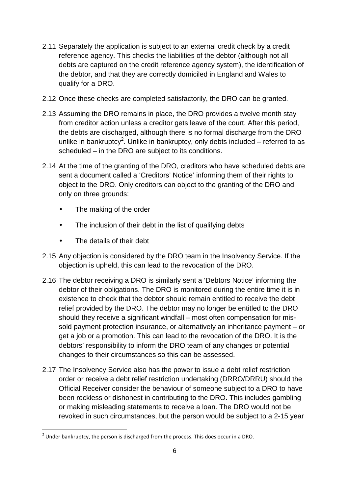- 2.11 Separately the application is subject to an external credit check by a credit reference agency. This checks the liabilities of the debtor (although not all debts are captured on the credit reference agency system), the identification of the debtor, and that they are correctly domiciled in England and Wales to qualify for a DRO.
- 2.12 Once these checks are completed satisfactorily, the DRO can be granted.
- 2.13 Assuming the DRO remains in place, the DRO provides a twelve month stay from creditor action unless a creditor gets leave of the court. After this period, the debts are discharged, although there is no formal discharge from the DRO unlike in bankruptcy<sup>2</sup>. Unlike in bankruptcy, only debts included – referred to as scheduled – in the DRO are subject to its conditions.
- 2.14 At the time of the granting of the DRO, creditors who have scheduled debts are sent a document called a 'Creditors' Notice' informing them of their rights to object to the DRO. Only creditors can object to the granting of the DRO and only on three grounds:
	- The making of the order
	- The inclusion of their debt in the list of qualifying debts
	- The details of their debt
- 2.15 Any objection is considered by the DRO team in the Insolvency Service. If the objection is upheld, this can lead to the revocation of the DRO.
- 2.16 The debtor receiving a DRO is similarly sent a 'Debtors Notice' informing the debtor of their obligations. The DRO is monitored during the entire time it is in existence to check that the debtor should remain entitled to receive the debt relief provided by the DRO. The debtor may no longer be entitled to the DRO should they receive a significant windfall – most often compensation for missold payment protection insurance, or alternatively an inheritance payment – or get a job or a promotion. This can lead to the revocation of the DRO. It is the debtors' responsibility to inform the DRO team of any changes or potential changes to their circumstances so this can be assessed.
- 2.17 The Insolvency Service also has the power to issue a debt relief restriction order or receive a debt relief restriction undertaking (DRRO/DRRU) should the Official Receiver consider the behaviour of someone subject to a DRO to have been reckless or dishonest in contributing to the DRO. This includes gambling or making misleading statements to receive a loan. The DRO would not be revoked in such circumstances, but the person would be subject to a 2-15 year

<sup>&</sup>lt;u>2</u><br><sup>2</sup> Under bankruptcy, the person is discharged from the process. This does occur in a DRO.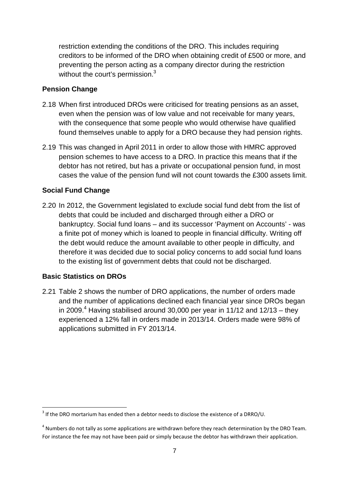restriction extending the conditions of the DRO. This includes requiring creditors to be informed of the DRO when obtaining credit of £500 or more, and preventing the person acting as a company director during the restriction without the court's permission.<sup>3</sup>

#### **Pension Change**

- 2.18 When first introduced DROs were criticised for treating pensions as an asset, even when the pension was of low value and not receivable for many years, with the consequence that some people who would otherwise have qualified found themselves unable to apply for a DRO because they had pension rights.
- 2.19 This was changed in April 2011 in order to allow those with HMRC approved pension schemes to have access to a DRO. In practice this means that if the debtor has not retired, but has a private or occupational pension fund, in most cases the value of the pension fund will not count towards the £300 assets limit.

#### **Social Fund Change**

2.20 In 2012, the Government legislated to exclude social fund debt from the list of debts that could be included and discharged through either a DRO or bankruptcy. Social fund loans – and its successor 'Payment on Accounts' - was a finite pot of money which is loaned to people in financial difficulty. Writing off the debt would reduce the amount available to other people in difficulty, and therefore it was decided due to social policy concerns to add social fund loans to the existing list of government debts that could not be discharged.

#### **Basic Statistics on DROs**

l

2.21 Table 2 shows the number of DRO applications, the number of orders made and the number of applications declined each financial year since DROs began in 2009. $4$  Having stabilised around 30,000 per year in 11/12 and 12/13 – they experienced a 12% fall in orders made in 2013/14. Orders made were 98% of applications submitted in FY 2013/14.

 $3$  If the DRO mortarium has ended then a debtor needs to disclose the existence of a DRRO/U.

 $<sup>4</sup>$  Numbers do not tally as some applications are withdrawn before they reach determination by the DRO Team.</sup> For instance the fee may not have been paid or simply because the debtor has withdrawn their application.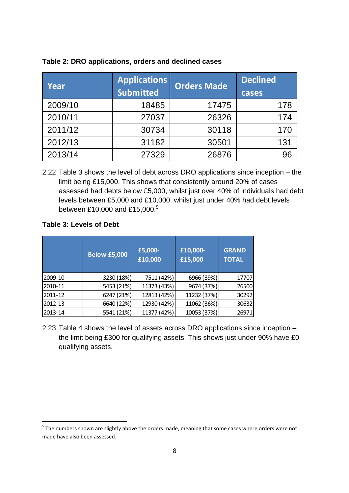| <b>Applications</b><br>Year |                  | <b>Orders Made</b> | <b>Declined</b> |
|-----------------------------|------------------|--------------------|-----------------|
|                             | <b>Submitted</b> |                    | cases           |
| 2009/10                     | 18485            | 17475              | 178             |
| 2010/11                     | 27037            | 26326              | 174             |
| 2011/12                     | 30734            | 30118              | 170             |
| 2012/13                     | 31182            | 30501              | 131             |
| 2013/14                     | 27329            | 26876              | 96              |

#### **Table 2: DRO applications, orders and declined cases**

2.22 Table 3 shows the level of debt across DRO applications since inception – the limit being £15,000. This shows that consistently around 20% of cases assessed had debts below £5,000, whilst just over 40% of individuals had debt levels between £5,000 and £10,000, whilst just under 40% had debt levels between £10,000 and £15,000.<sup>5</sup>

## **Table 3: Levels of Debt**

 $\overline{\phantom{0}}$ 

|         | <b>Below £5,000</b> | £5,000-<br>£10,000 | £10,000-<br>£15,000 | <b>GRAND</b><br><b>TOTAL</b> |
|---------|---------------------|--------------------|---------------------|------------------------------|
| 2009-10 | 3230 (18%)          | 7511 (42%)         | 6966 (39%)          | 17707                        |
| 2010-11 | 5453 (21%)          | 11373 (43%)        | 9674 (37%)          | 26500                        |
| 2011-12 | 6247 (21%)          | 12813 (42%)        | 11232 (37%)         | 30292                        |
| 2012-13 | 6640 (22%)          | 12930 (42%)        | 11062 (36%)         | 30632                        |
| 2013-14 | 5541 (21%)          | 11377 (42%)        | 10053 (37%)         | 26971                        |

2.23 Table 4 shows the level of assets across DRO applications since inception – the limit being £300 for qualifying assets. This shows just under 90% have £0 qualifying assets.

 $<sup>5</sup>$  The numbers shown are slightly above the orders made, meaning that some cases where orders were not</sup> made have also been assessed.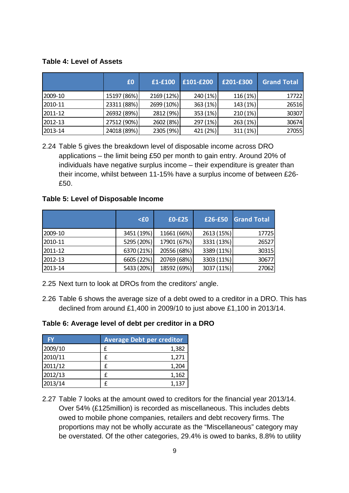#### **Table 4: Level of Assets**

|         | £0          | £1-£100    | £101-£200 | £201-£300 | <b>Grand Total</b> |
|---------|-------------|------------|-----------|-----------|--------------------|
| 2009-10 | 15197 (86%) | 2169 (12%) | 240 (1%)  | 116(1%)   | 17722              |
| 2010-11 | 23311 (88%) | 2699 (10%) | 363(1%)   | 143(1%)   | 26516              |
| 2011-12 | 26932 (89%) | 2812 (9%)  | 353(1%)   | 210(1%)   | 30307              |
| 2012-13 | 27512 (90%) | 2602 (8%)  | 297(1%)   | 263(1%)   | 30674              |
| 2013-14 | 24018 (89%) | 2305 (9%)  | 421 (2%)  | 311(1%)   | 27055              |

2.24 Table 5 gives the breakdown level of disposable income across DRO applications – the limit being £50 per month to gain entry. Around 20% of individuals have negative surplus income – their expenditure is greater than their income, whilst between 11-15% have a surplus income of between £26- £50.

#### **Table 5: Level of Disposable Income**

|         | $\epsilon0$ | £0-£25      | £26-£50    | <b>Grand Total</b> |
|---------|-------------|-------------|------------|--------------------|
| 2009-10 | 3451 (19%)  | 11661 (66%) | 2613 (15%) | 17725              |
| 2010-11 | 5295 (20%)  | 17901 (67%) | 3331 (13%) | 26527              |
| 2011-12 | 6370 (21%)  | 20556 (68%) | 3389 (11%) | 30315              |
| 2012-13 | 6605 (22%)  | 20769 (68%) | 3303 (11%) | 30677              |
| 2013-14 | 5433 (20%)  | 18592 (69%) | 3037 (11%) | 27062              |

- 2.25 Next turn to look at DROs from the creditors' angle.
- 2.26 Table 6 shows the average size of a debt owed to a creditor in a DRO. This has declined from around £1,400 in 2009/10 to just above £1,100 in 2013/14.

#### **Table 6: Average level of debt per creditor in a DRO**

| <b>FY</b> | <b>Average Debt per creditor</b> |       |
|-----------|----------------------------------|-------|
| 2009/10   | f                                | 1,382 |
| 2010/11   | f                                | 1,271 |
| 2011/12   | f                                | 1,204 |
| 2012/13   |                                  | 1,162 |
| 2013/14   | f                                | 1,137 |

2.27 Table 7 looks at the amount owed to creditors for the financial year 2013/14. Over 54% (£125million) is recorded as miscellaneous. This includes debts owed to mobile phone companies, retailers and debt recovery firms. The proportions may not be wholly accurate as the "Miscellaneous" category may be overstated. Of the other categories, 29.4% is owed to banks, 8.8% to utility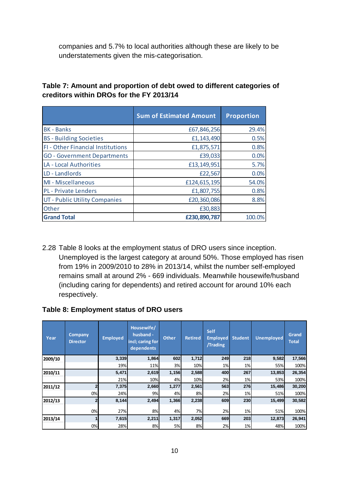companies and 5.7% to local authorities although these are likely to be understatements given the mis-categorisation.

| Table 7: Amount and proportion of debt owed to different categories of |
|------------------------------------------------------------------------|
| creditors within DROs for the FY 2013/14                               |

|                                    | <b>Sum of Estimated Amount</b> | <b>Proportion</b> |
|------------------------------------|--------------------------------|-------------------|
| <b>BK - Banks</b>                  | £67,846,256                    | 29.4%             |
| <b>BS</b> - Building Societies     | £1,143,490                     | 0.5%              |
| FI - Other Financial Institutions  | £1,875,571                     | 0.8%              |
| <b>GO</b> - Government Departments | £39,033                        | 0.0%              |
| LA - Local Authorities             | £13,149,951                    | 5.7%              |
| LD - Landlords                     | £22,567                        | 0.0%              |
| MI - Miscellaneous                 | £124,615,195                   | 54.0%             |
| <b>PL</b> - Private Lenders        | £1,807,755                     | 0.8%              |
| UT - Public Utility Companies      | £20,360,086                    | 8.8%              |
| Other                              | £30,883                        |                   |
| <b>Grand Total</b>                 | £230,890,787                   | 100.0%            |

2.28 Table 8 looks at the employment status of DRO users since inception. Unemployed is the largest category at around 50%. Those employed has risen from 19% in 2009/2010 to 28% in 2013/14, whilst the number self-employed remains small at around 2% - 669 individuals. Meanwhile housewife/husband (including caring for dependents) and retired account for around 10% each respectively.

#### **Table 8: Employment status of DRO users**

| Year    | Company<br><b>Director</b> | <b>Employed</b> | Housewife/<br>husband -<br>incl; caring for<br>dependents | <b>Other</b> | <b>Retired</b> | <b>Self</b><br><b>Employed</b><br>/Trading | <b>Student</b> | <b>Unemployed</b> | Grand<br><b>Total</b> |
|---------|----------------------------|-----------------|-----------------------------------------------------------|--------------|----------------|--------------------------------------------|----------------|-------------------|-----------------------|
| 2009/10 |                            | 3,339           | 1,864                                                     | 602          | 1,712          | 249                                        | 218            | 9,582             | 17,566                |
|         |                            | 19%             | 11%                                                       | 3%           | 10%            | 1%                                         | 1%             | 55%               | 100%                  |
| 2010/11 |                            | 5,471           | 2,619                                                     | 1,156        | 2,588          | 400                                        | 267            | 13,853            | 26,354                |
|         |                            | 21%             | 10%                                                       | 4%           | 10%            | 2%                                         | 1%             | 53%               | 100%                  |
| 2011/12 |                            | 7,375           | 2,660                                                     | 1,277        | 2,561          | 563                                        | 276            | 15,486            | 30,200                |
|         | 0%                         | 24%             | 9%                                                        | 4%           | 8%             | 2%                                         | 1%             | 51%               | 100%                  |
| 2012/13 |                            | 8,144           | 2,494                                                     | 1,366        | 2,238          | 609                                        | 230            | 15,499            | 30,582                |
|         | 0%                         | 27%             | 8%                                                        | 4%           | 7%             | 2%                                         | 1%             | 51%               | 100%                  |
| 2013/14 |                            | 7,615           | 2,211                                                     | 1,317        | 2,052          | 669                                        | 203            | 12,873            | 26,941                |
|         | 0%                         | 28%             | 8%                                                        | 5%           | 8%             | 2%                                         | 1%             | 48%               | 100%                  |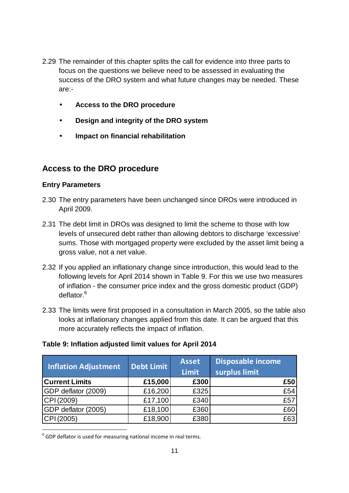- 2.29 The remainder of this chapter splits the call for evidence into three parts to focus on the questions we believe need to be assessed in evaluating the success of the DRO system and what future changes may be needed. These are:-
	- **Access to the DRO procedure**
	- **Design and integrity of the DRO system**
	- **Impact on financial rehabilitation**

## **Access to the DRO procedure**

#### **Entry Parameters**

l

- 2.30 The entry parameters have been unchanged since DROs were introduced in April 2009.
- 2.31 The debt limit in DROs was designed to limit the scheme to those with low levels of unsecured debt rather than allowing debtors to discharge 'excessive' sums. Those with mortgaged property were excluded by the asset limit being a gross value, not a net value.
- 2.32 If you applied an inflationary change since introduction, this would lead to the following levels for April 2014 shown in Table 9. For this we use two measures of inflation - the consumer price index and the gross domestic product (GDP) deflator.<sup>6</sup>
- 2.33 The limits were first proposed in a consultation in March 2005, so the table also looks at inflationary changes applied from this date. It can be argued that this more accurately reflects the impact of inflation.

#### **Table 9: Inflation adjusted limit values for April 2014**

| <b>Inflation Adjustment</b> | Debt Limit | <b>Asset</b><br><b>Limit</b> | <b>Disposable income</b><br>surplus limit |
|-----------------------------|------------|------------------------------|-------------------------------------------|
| <b>Current Limits</b>       | £15,000    | £300                         | £50                                       |
| GDP deflator (2009)         | £16,200    | £325                         | £54                                       |
| CPI (2009)                  | £17,100    | £340                         | £57                                       |
| GDP deflator (2005)         | £18,100    | £360                         | £60                                       |
| CPI (2005)                  | £18,900    | £380                         | £63                                       |

 $<sup>6</sup>$  GDP deflator is used for measuring national income in real terms.</sup>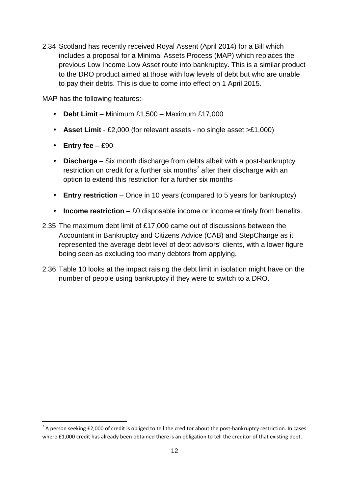2.34 Scotland has recently received Royal Assent (April 2014) for a Bill which includes a proposal for a Minimal Assets Process (MAP) which replaces the previous Low Income Low Asset route into bankruptcy. This is a similar product to the DRO product aimed at those with low levels of debt but who are unable to pay their debts. This is due to come into effect on 1 April 2015.

MAP has the following features:-

- **Debt Limit** Minimum £1,500 Maximum £17,000
- **Asset Limit** £2,000 (for relevant assets no single asset >£1,000)
- **Entry fee** £90

 $\overline{\phantom{0}}$ 

- **Discharge** Six month discharge from debts albeit with a post-bankruptcy restriction on credit for a further six months<sup>7</sup> after their discharge with an option to extend this restriction for a further six months
- **Entry restriction** Once in 10 years (compared to 5 years for bankruptcy)
- **Income restriction** £0 disposable income or income entirely from benefits.
- 2.35 The maximum debt limit of £17,000 came out of discussions between the Accountant in Bankruptcy and Citizens Advice (CAB) and StepChange as it represented the average debt level of debt advisors' clients, with a lower figure being seen as excluding too many debtors from applying.
- 2.36 Table 10 looks at the impact raising the debt limit in isolation might have on the number of people using bankruptcy if they were to switch to a DRO.

 $^7$  A person seeking £2,000 of credit is obliged to tell the creditor about the post-bankruptcy restriction. In cases where £1,000 credit has already been obtained there is an obligation to tell the creditor of that existing debt.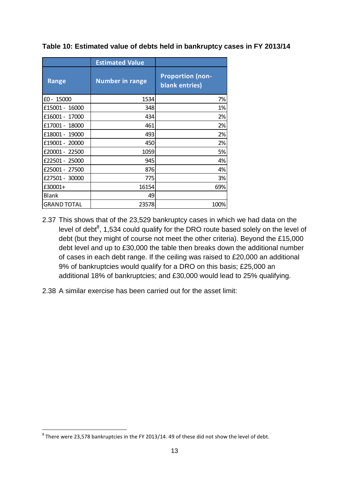|                    | <b>Estimated Value</b> |                                           |
|--------------------|------------------------|-------------------------------------------|
| <b>Range</b>       | <b>Number in range</b> | <b>Proportion (non-</b><br>blank entries) |
| $£0 - 15000$       | 1534                   | 7%                                        |
| £15001 - 16000     | 348                    | 1%                                        |
| £16001 - 17000     | 434                    | 2%                                        |
| £17001 - 18000     | 461                    | 2%                                        |
| £18001 - 19000     | 493                    | 2%                                        |
| £19001 - 20000     | 450                    | 2%                                        |
| £20001 - 22500     | 1059                   | 5%                                        |
| £22501 - 25000     | 945                    | 4%                                        |
| £25001 - 27500     | 876                    | 4%                                        |
| £27501 - 30000     | 775                    | 3%                                        |
| £30001+            | 16154                  | 69%                                       |
| <b>Blank</b>       | 49                     |                                           |
| <b>GRAND TOTAL</b> | 23578                  | 100%                                      |

**Table 10: Estimated value of debts held in bankruptcy cases in FY 2013/14** 

- 2.37 This shows that of the 23,529 bankruptcy cases in which we had data on the level of debt $^8$ , 1,534 could qualify for the DRO route based solely on the level of debt (but they might of course not meet the other criteria). Beyond the £15,000 debt level and up to £30,000 the table then breaks down the additional number of cases in each debt range. If the ceiling was raised to £20,000 an additional 9% of bankruptcies would qualify for a DRO on this basis; £25,000 an additional 18% of bankruptcies; and £30,000 would lead to 25% qualifying.
- 2.38 A similar exercise has been carried out for the asset limit:

l

 $^8$  There were 23,578 bankruptcies in the FY 2013/14. 49 of these did not show the level of debt.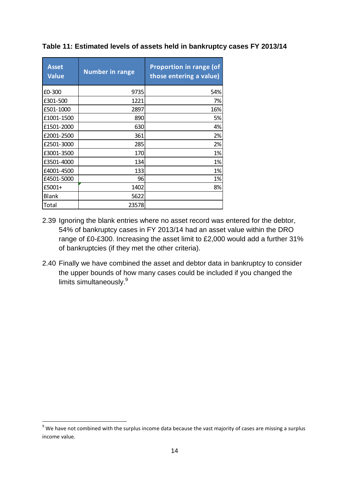| <b>Asset</b><br><b>Value</b> | <b>Number in range</b> | <b>Proportion in range (of</b><br>those entering a value) |
|------------------------------|------------------------|-----------------------------------------------------------|
| £0-300                       | 9735                   | 54%                                                       |
| £301-500                     | 1221                   | 7%                                                        |
| £501-1000                    | 2897                   | 16%                                                       |
| £1001-1500                   | 890                    | 5%                                                        |
| £1501-2000                   | 630                    | 4%                                                        |
| £2001-2500                   | 361                    | 2%                                                        |
| £2501-3000                   | 285                    | 2%                                                        |
| £3001-3500                   | 170                    | 1%                                                        |
| £3501-4000                   | 134                    | 1%                                                        |
| £4001-4500                   | 133                    | 1%                                                        |
| £4501-5000                   | 96                     | 1%                                                        |
| £5001+                       | 1402                   | 8%                                                        |
| <b>Blank</b>                 | 5622                   |                                                           |
| Total                        | 23578                  |                                                           |

#### **Table 11: Estimated levels of assets held in bankruptcy cases FY 2013/14**

- 2.39 Ignoring the blank entries where no asset record was entered for the debtor, 54% of bankruptcy cases in FY 2013/14 had an asset value within the DRO range of £0-£300. Increasing the asset limit to £2,000 would add a further 31% of bankruptcies (if they met the other criteria).
- 2.40 Finally we have combined the asset and debtor data in bankruptcy to consider the upper bounds of how many cases could be included if you changed the limits simultaneously.<sup>9</sup>

 $\overline{\phantom{0}}$ 

 $9$  We have not combined with the surplus income data because the vast majority of cases are missing a surplus income value.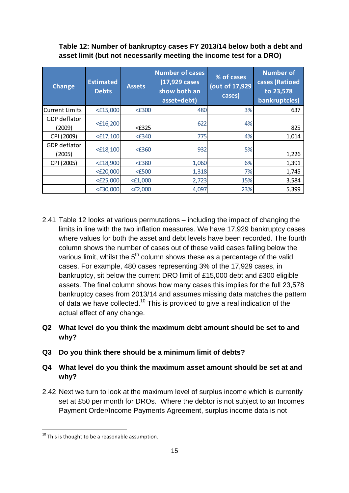## **Table 12: Number of bankruptcy cases FY 2013/14 below both a debt and asset limit (but not necessarily meeting the income test for a DRO)**

| <b>Change</b>          | <b>Estimated</b><br><b>Debts</b> | <b>Assets</b> | <b>Number of cases</b><br>(17,929 cases<br>show both an<br>asset+debt) | % of cases<br>(out of 17,929<br>cases) | <b>Number of</b><br>cases (Ratioed<br>to 23,578<br>bankruptcies) |
|------------------------|----------------------------------|---------------|------------------------------------------------------------------------|----------------------------------------|------------------------------------------------------------------|
| Current Limits         | $<$ £15,000                      | $<$ £300      | 480                                                                    | 3%                                     | 637                                                              |
| GDP deflator<br>(2009) | $<$ £16,200                      | $\leq$ £325   | 622                                                                    | 4%                                     | 825                                                              |
| CPI (2009)             | $<$ £17,100                      | $<$ £340      | 775                                                                    | 4%                                     | 1,014                                                            |
| GDP deflator<br>(2005) | $<$ £18,100                      | $<$ £360      | 932                                                                    | 5%                                     | 1,226                                                            |
| CPI (2005)             | $<$ £18,900                      | <£380         | 1,060                                                                  | 6%                                     | 1,391                                                            |
|                        | $<$ £20,000                      | $<$ £500      | 1,318                                                                  | 7%                                     | 1,745                                                            |
|                        | $<$ £25,000                      | $<$ £1,000    | 2,723                                                                  | 15%                                    | 3,584                                                            |
|                        | $<$ £30,000                      | $<$ £2,000    | 4,097                                                                  | 23%                                    | 5,399                                                            |

2.41 Table 12 looks at various permutations – including the impact of changing the limits in line with the two inflation measures. We have 17,929 bankruptcy cases where values for both the asset and debt levels have been recorded. The fourth column shows the number of cases out of these valid cases falling below the various limit, whilst the  $5<sup>th</sup>$  column shows these as a percentage of the valid cases. For example, 480 cases representing 3% of the 17,929 cases, in bankruptcy, sit below the current DRO limit of £15,000 debt and £300 eligible assets. The final column shows how many cases this implies for the full 23,578 bankruptcy cases from 2013/14 and assumes missing data matches the pattern of data we have collected.<sup>10</sup> This is provided to give a real indication of the actual effect of any change.

## **Q2 What level do you think the maximum debt amount should be set to and why?**

**Q3 Do you think there should be a minimum limit of debts?** 

## **Q4 What level do you think the maximum asset amount should be set at and why?**

2.42 Next we turn to look at the maximum level of surplus income which is currently set at £50 per month for DROs. Where the debtor is not subject to an Incomes Payment Order/Income Payments Agreement, surplus income data is not

l

 $^{10}$  This is thought to be a reasonable assumption.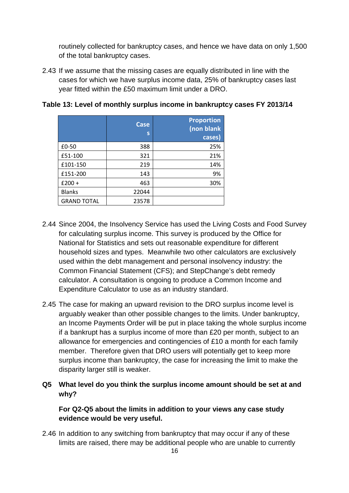routinely collected for bankruptcy cases, and hence we have data on only 1,500 of the total bankruptcy cases.

2.43 If we assume that the missing cases are equally distributed in line with the cases for which we have surplus income data, 25% of bankruptcy cases last year fitted within the £50 maximum limit under a DRO.

|                    | <b>Case</b><br>S | <b>Proportion</b><br>(non blank<br>cases) |
|--------------------|------------------|-------------------------------------------|
| £0-50              | 388              | 25%                                       |
| £51-100            | 321              | 21%                                       |
| £101-150           | 219              | 14%                                       |
| £151-200           | 143              | 9%                                        |
| $£200 +$           | 463              | 30%                                       |
| <b>Blanks</b>      | 22044            |                                           |
| <b>GRAND TOTAL</b> | 23578            |                                           |

**Table 13: Level of monthly surplus income in bankruptcy cases FY 2013/14** 

- 2.44 Since 2004, the Insolvency Service has used the Living Costs and Food Survey for calculating surplus income. This survey is produced by the Office for National for Statistics and sets out reasonable expenditure for different household sizes and types. Meanwhile two other calculators are exclusively used within the debt management and personal insolvency industry: the Common Financial Statement (CFS); and StepChange's debt remedy calculator. A consultation is ongoing to produce a Common Income and Expenditure Calculator to use as an industry standard.
- 2.45 The case for making an upward revision to the DRO surplus income level is arguably weaker than other possible changes to the limits. Under bankruptcy, an Income Payments Order will be put in place taking the whole surplus income if a bankrupt has a surplus income of more than £20 per month, subject to an allowance for emergencies and contingencies of £10 a month for each family member. Therefore given that DRO users will potentially get to keep more surplus income than bankruptcy, the case for increasing the limit to make the disparity larger still is weaker.
- **Q5 What level do you think the surplus income amount should be set at and why?**

## **For Q2-Q5 about the limits in addition to your views any case study evidence would be very useful.**

2.46 In addition to any switching from bankruptcy that may occur if any of these limits are raised, there may be additional people who are unable to currently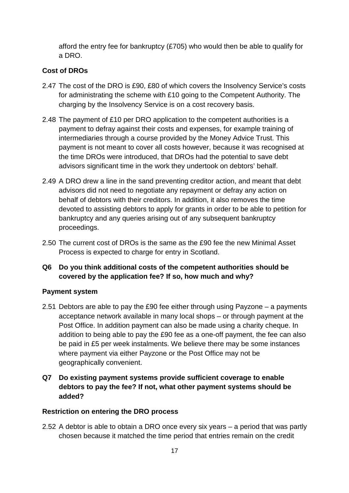afford the entry fee for bankruptcy (£705) who would then be able to qualify for a DRO.

## **Cost of DROs**

- 2.47 The cost of the DRO is £90, £80 of which covers the Insolvency Service's costs for administrating the scheme with £10 going to the Competent Authority. The charging by the Insolvency Service is on a cost recovery basis.
- 2.48 The payment of £10 per DRO application to the competent authorities is a payment to defray against their costs and expenses, for example training of intermediaries through a course provided by the Money Advice Trust. This payment is not meant to cover all costs however, because it was recognised at the time DROs were introduced, that DROs had the potential to save debt advisors significant time in the work they undertook on debtors' behalf.
- 2.49 A DRO drew a line in the sand preventing creditor action, and meant that debt advisors did not need to negotiate any repayment or defray any action on behalf of debtors with their creditors. In addition, it also removes the time devoted to assisting debtors to apply for grants in order to be able to petition for bankruptcy and any queries arising out of any subsequent bankruptcy proceedings.
- 2.50 The current cost of DROs is the same as the £90 fee the new Minimal Asset Process is expected to charge for entry in Scotland.
- **Q6 Do you think additional costs of the competent authorities should be covered by the application fee? If so, how much and why?**

#### **Payment system**

- 2.51 Debtors are able to pay the £90 fee either through using Payzone a payments acceptance network available in many local shops – or through payment at the Post Office. In addition payment can also be made using a charity cheque. In addition to being able to pay the £90 fee as a one-off payment, the fee can also be paid in £5 per week instalments. We believe there may be some instances where payment via either Payzone or the Post Office may not be geographically convenient.
- **Q7 Do existing payment systems provide sufficient coverage to enable debtors to pay the fee? If not, what other payment systems should be added?**

#### **Restriction on entering the DRO process**

2.52 A debtor is able to obtain a DRO once every six years – a period that was partly chosen because it matched the time period that entries remain on the credit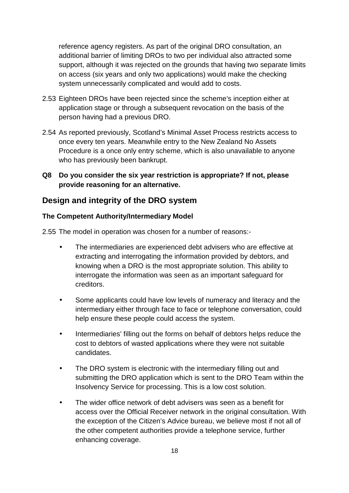reference agency registers. As part of the original DRO consultation, an additional barrier of limiting DROs to two per individual also attracted some support, although it was rejected on the grounds that having two separate limits on access (six years and only two applications) would make the checking system unnecessarily complicated and would add to costs.

- 2.53 Eighteen DROs have been rejected since the scheme's inception either at application stage or through a subsequent revocation on the basis of the person having had a previous DRO.
- 2.54 As reported previously, Scotland's Minimal Asset Process restricts access to once every ten years. Meanwhile entry to the New Zealand No Assets Procedure is a once only entry scheme, which is also unavailable to anyone who has previously been bankrupt.
- **Q8 Do you consider the six year restriction is appropriate? If not, please provide reasoning for an alternative.**

# **Design and integrity of the DRO system**

#### **The Competent Authority/Intermediary Model**

2.55 The model in operation was chosen for a number of reasons:-

- The intermediaries are experienced debt advisers who are effective at extracting and interrogating the information provided by debtors, and knowing when a DRO is the most appropriate solution. This ability to interrogate the information was seen as an important safeguard for creditors.
- Some applicants could have low levels of numeracy and literacy and the intermediary either through face to face or telephone conversation, could help ensure these people could access the system.
- Intermediaries' filling out the forms on behalf of debtors helps reduce the cost to debtors of wasted applications where they were not suitable candidates.
- The DRO system is electronic with the intermediary filling out and submitting the DRO application which is sent to the DRO Team within the Insolvency Service for processing. This is a low cost solution.
- The wider office network of debt advisers was seen as a benefit for access over the Official Receiver network in the original consultation. With the exception of the Citizen's Advice bureau, we believe most if not all of the other competent authorities provide a telephone service, further enhancing coverage.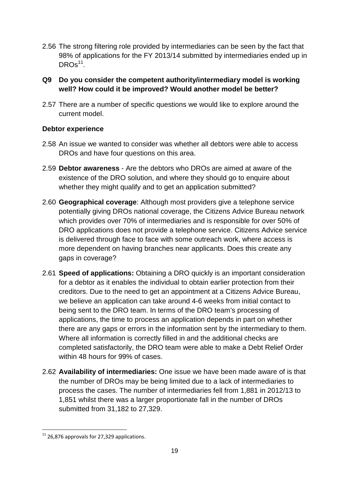- 2.56 The strong filtering role provided by intermediaries can be seen by the fact that 98% of applications for the FY 2013/14 submitted by intermediaries ended up in  $DROS<sup>11</sup>$ .
- **Q9 Do you consider the competent authority/intermediary model is working well? How could it be improved? Would another model be better?**
- 2.57 There are a number of specific questions we would like to explore around the current model.

## **Debtor experience**

- 2.58 An issue we wanted to consider was whether all debtors were able to access DROs and have four questions on this area.
- 2.59 **Debtor awareness** Are the debtors who DROs are aimed at aware of the existence of the DRO solution, and where they should go to enquire about whether they might qualify and to get an application submitted?
- 2.60 **Geographical coverage**: Although most providers give a telephone service potentially giving DROs national coverage, the Citizens Advice Bureau network which provides over 70% of intermediaries and is responsible for over 50% of DRO applications does not provide a telephone service. Citizens Advice service is delivered through face to face with some outreach work, where access is more dependent on having branches near applicants. Does this create any gaps in coverage?
- 2.61 **Speed of applications:** Obtaining a DRO quickly is an important consideration for a debtor as it enables the individual to obtain earlier protection from their creditors. Due to the need to get an appointment at a Citizens Advice Bureau, we believe an application can take around 4-6 weeks from initial contact to being sent to the DRO team. In terms of the DRO team's processing of applications, the time to process an application depends in part on whether there are any gaps or errors in the information sent by the intermediary to them. Where all information is correctly filled in and the additional checks are completed satisfactorily, the DRO team were able to make a Debt Relief Order within 48 hours for 99% of cases.
- 2.62 **Availability of intermediaries:** One issue we have been made aware of is that the number of DROs may be being limited due to a lack of intermediaries to process the cases. The number of intermediaries fell from 1,881 in 2012/13 to 1,851 whilst there was a larger proportionate fall in the number of DROs submitted from 31,182 to 27,329.

l

 $11$  26,876 approvals for 27,329 applications.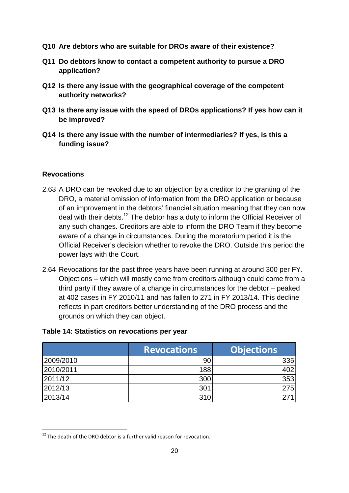- **Q10 Are debtors who are suitable for DROs aware of their existence?**
- **Q11 Do debtors know to contact a competent authority to pursue a DRO application?**
- **Q12 Is there any issue with the geographical coverage of the competent authority networks?**
- **Q13 Is there any issue with the speed of DROs applications? If yes how can it be improved?**
- **Q14 Is there any issue with the number of intermediaries? If yes, is this a funding issue?**

## **Revocations**

l

- 2.63 A DRO can be revoked due to an objection by a creditor to the granting of the DRO, a material omission of information from the DRO application or because of an improvement in the debtors' financial situation meaning that they can now deal with their debts.<sup>12</sup> The debtor has a duty to inform the Official Receiver of any such changes. Creditors are able to inform the DRO Team if they become aware of a change in circumstances. During the moratorium period it is the Official Receiver's decision whether to revoke the DRO. Outside this period the power lays with the Court.
- 2.64 Revocations for the past three years have been running at around 300 per FY. Objections – which will mostly come from creditors although could come from a third party if they aware of a change in circumstances for the debtor – peaked at 402 cases in FY 2010/11 and has fallen to 271 in FY 2013/14. This decline reflects in part creditors better understanding of the DRO process and the grounds on which they can object.

## **Table 14: Statistics on revocations per year**

|           | <b>Revocations</b> | <b>Objections</b> |
|-----------|--------------------|-------------------|
| 2009/2010 | 90                 | 335               |
| 2010/2011 | 188                | 402               |
| 2011/12   | 300                | 353               |
| 2012/13   | 301                | 275               |
| 2013/14   | 310                |                   |

 $12$  The death of the DRO debtor is a further valid reason for revocation.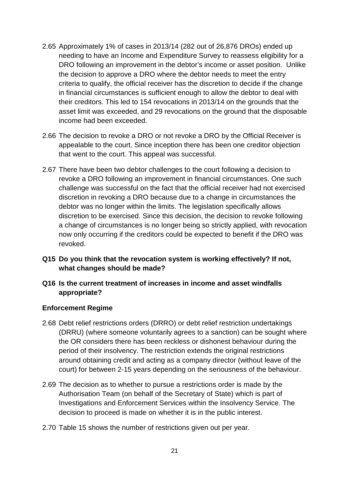- 2.65 Approximately 1% of cases in 2013/14 (282 out of 26,876 DROs) ended up needing to have an Income and Expenditure Survey to reassess eligibility for a DRO following an improvement in the debtor's income or asset position. Unlike the decision to approve a DRO where the debtor needs to meet the entry criteria to qualify, the official receiver has the discretion to decide if the change in financial circumstances is sufficient enough to allow the debtor to deal with their creditors. This led to 154 revocations in 2013/14 on the grounds that the asset limit was exceeded, and 29 revocations on the ground that the disposable income had been exceeded.
- 2.66 The decision to revoke a DRO or not revoke a DRO by the Official Receiver is appealable to the court. Since inception there has been one creditor objection that went to the court. This appeal was successful.
- 2.67 There have been two debtor challenges to the court following a decision to revoke a DRO following an improvement in financial circumstances. One such challenge was successful on the fact that the official receiver had not exercised discretion in revoking a DRO because due to a change in circumstances the debtor was no longer within the limits. The legislation specifically allows discretion to be exercised. Since this decision, the decision to revoke following a change of circumstances is no longer being so strictly applied, with revocation now only occurring if the creditors could be expected to benefit if the DRO was revoked.
- **Q15 Do you think that the revocation system is working effectively? If not, what changes should be made?**
- **Q16 Is the current treatment of increases in income and asset windfalls appropriate?**

#### **Enforcement Regime**

- 2.68 Debt relief restrictions orders (DRRO) or debt relief restriction undertakings (DRRU) (where someone voluntarily agrees to a sanction) can be sought where the OR considers there has been reckless or dishonest behaviour during the period of their insolvency. The restriction extends the original restrictions around obtaining credit and acting as a company director (without leave of the court) for between 2-15 years depending on the seriousness of the behaviour.
- 2.69 The decision as to whether to pursue a restrictions order is made by the Authorisation Team (on behalf of the Secretary of State) which is part of Investigations and Enforcement Services within the Insolvency Service. The decision to proceed is made on whether it is in the public interest.
- 2.70 Table 15 shows the number of restrictions given out per year.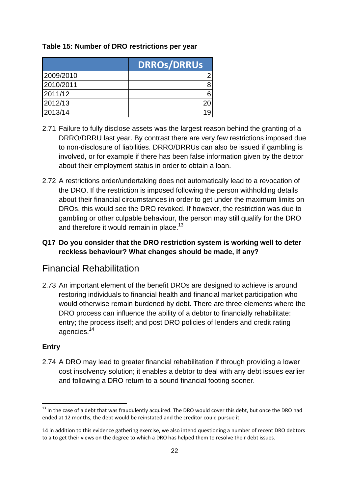## **Table 15: Number of DRO restrictions per year**

|           | <b>DRROS/DRRUS</b> |
|-----------|--------------------|
| 2009/2010 |                    |
| 2010/2011 |                    |
| 2011/12   |                    |
| 2012/13   |                    |
| 2013/14   |                    |

- 2.71 Failure to fully disclose assets was the largest reason behind the granting of a DRRO/DRRU last year. By contrast there are very few restrictions imposed due to non-disclosure of liabilities. DRRO/DRRUs can also be issued if gambling is involved, or for example if there has been false information given by the debtor about their employment status in order to obtain a loan.
- 2.72 A restrictions order/undertaking does not automatically lead to a revocation of the DRO. If the restriction is imposed following the person withholding details about their financial circumstances in order to get under the maximum limits on DROs, this would see the DRO revoked. If however, the restriction was due to gambling or other culpable behaviour, the person may still qualify for the DRO and therefore it would remain in place.<sup>13</sup>

## **Q17 Do you consider that the DRO restriction system is working well to deter reckless behaviour? What changes should be made, if any?**

# Financial Rehabilitation

2.73 An important element of the benefit DROs are designed to achieve is around restoring individuals to financial health and financial market participation who would otherwise remain burdened by debt. There are three elements where the DRO process can influence the ability of a debtor to financially rehabilitate: entry; the process itself; and post DRO policies of lenders and credit rating agencies.<sup>14</sup>

## **Entry**

 $\overline{\phantom{0}}$ 

2.74 A DRO may lead to greater financial rehabilitation if through providing a lower cost insolvency solution; it enables a debtor to deal with any debt issues earlier and following a DRO return to a sound financial footing sooner.

<sup>&</sup>lt;sup>13</sup> In the case of a debt that was fraudulently acquired. The DRO would cover this debt, but once the DRO had ended at 12 months, the debt would be reinstated and the creditor could pursue it.

<sup>14</sup> in addition to this evidence gathering exercise, we also intend questioning a number of recent DRO debtors to a to get their views on the degree to which a DRO has helped them to resolve their debt issues.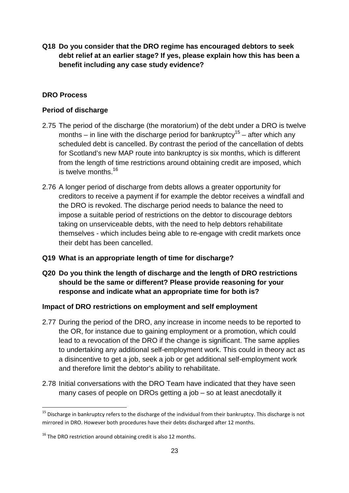**Q18 Do you consider that the DRO regime has encouraged debtors to seek debt relief at an earlier stage? If yes, please explain how this has been a benefit including any case study evidence?** 

## **DRO Process**

## **Period of discharge**

- 2.75 The period of the discharge (the moratorium) of the debt under a DRO is twelve months – in line with the discharge period for bankruptcy<sup>15</sup> – after which any scheduled debt is cancelled. By contrast the period of the cancellation of debts for Scotland's new MAP route into bankruptcy is six months, which is different from the length of time restrictions around obtaining credit are imposed, which is twelve months.<sup>16</sup>
- 2.76 A longer period of discharge from debts allows a greater opportunity for creditors to receive a payment if for example the debtor receives a windfall and the DRO is revoked. The discharge period needs to balance the need to impose a suitable period of restrictions on the debtor to discourage debtors taking on unserviceable debts, with the need to help debtors rehabilitate themselves - which includes being able to re-engage with credit markets once their debt has been cancelled.
- **Q19 What is an appropriate length of time for discharge?**
- **Q20 Do you think the length of discharge and the length of DRO restrictions should be the same or different? Please provide reasoning for your response and indicate what an appropriate time for both is?**

## **Impact of DRO restrictions on employment and self employment**

- 2.77 During the period of the DRO, any increase in income needs to be reported to the OR, for instance due to gaining employment or a promotion, which could lead to a revocation of the DRO if the change is significant. The same applies to undertaking any additional self-employment work. This could in theory act as a disincentive to get a job, seek a job or get additional self-employment work and therefore limit the debtor's ability to rehabilitate.
- 2.78 Initial conversations with the DRO Team have indicated that they have seen many cases of people on DROs getting a job – so at least anecdotally it

l

<sup>&</sup>lt;sup>15</sup> Discharge in bankruptcy refers to the discharge of the individual from their bankruptcy. This discharge is not mirrored in DRO. However both procedures have their debts discharged after 12 months.

 $16$  The DRO restriction around obtaining credit is also 12 months.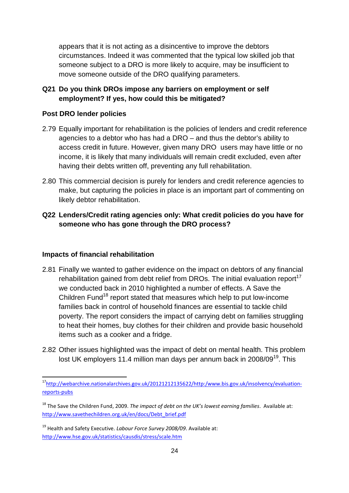appears that it is not acting as a disincentive to improve the debtors circumstances. Indeed it was commented that the typical low skilled job that someone subject to a DRO is more likely to acquire, may be insufficient to move someone outside of the DRO qualifying parameters.

## **Q21 Do you think DROs impose any barriers on employment or self employment? If yes, how could this be mitigated?**

### **Post DRO lender policies**

- 2.79 Equally important for rehabilitation is the policies of lenders and credit reference agencies to a debtor who has had a DRO – and thus the debtor's ability to access credit in future. However, given many DRO users may have little or no income, it is likely that many individuals will remain credit excluded, even after having their debts written off, preventing any full rehabilitation.
- 2.80 This commercial decision is purely for lenders and credit reference agencies to make, but capturing the policies in place is an important part of commenting on likely debtor rehabilitation.

## **Q22 Lenders/Credit rating agencies only: What credit policies do you have for someone who has gone through the DRO process?**

#### **Impacts of financial rehabilitation**

l

- 2.81 Finally we wanted to gather evidence on the impact on debtors of any financial rehabilitation gained from debt relief from DROs. The initial evaluation report<sup>17</sup> we conducted back in 2010 highlighted a number of effects. A Save the Children Fund<sup>18</sup> report stated that measures which help to put low-income families back in control of household finances are essential to tackle child poverty. The report considers the impact of carrying debt on families struggling to heat their homes, buy clothes for their children and provide basic household items such as a cooker and a fridge.
- 2.82 Other issues highlighted was the impact of debt on mental health. This problem lost UK employers 11.4 million man days per annum back in 2008/09<sup>19</sup>. This

<sup>&</sup>lt;sup>17</sup>http://webarchive.nationalarchives.gov.uk/20121212135622/http:/www.bis.gov.uk/insolvency/evaluationreports-pubs

<sup>18</sup> The Save the Children Fund, 2009. *The impact of debt on the UK's lowest earning families*. Available at: http://www.savethechildren.org.uk/en/docs/Debt\_brief.pdf

<sup>19</sup> Health and Safety Executive. *Labour Force Survey 2008/09*. Available at: http://www.hse.gov.uk/statistics/causdis/stress/scale.htm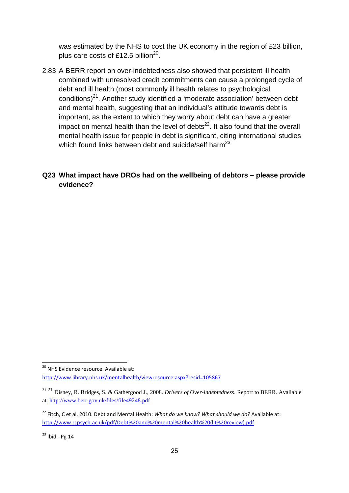was estimated by the NHS to cost the UK economy in the region of £23 billion, plus care costs of £12.5 billion<sup>20</sup>.

- 2.83 A BERR report on over-indebtedness also showed that persistent ill health combined with unresolved credit commitments can cause a prolonged cycle of debt and ill health (most commonly ill health relates to psychological conditions) $21$ . Another study identified a 'moderate association' between debt and mental health, suggesting that an individual's attitude towards debt is important, as the extent to which they worry about debt can have a greater impact on mental health than the level of debts $^{22}$ . It also found that the overall mental health issue for people in debt is significant, citing international studies which found links between debt and suicide/self harm<sup>23</sup>
- **Q23 What impact have DROs had on the wellbeing of debtors please provide evidence?**

 $\overline{a}$ 

<sup>&</sup>lt;sup>20</sup> NHS Evidence resource. Available at: http://www.library.nhs.uk/mentalhealth/viewresource.aspx?resid=105867

<sup>21</sup> <sup>21</sup> Disney, R. Bridges, S. & Gathergood J., 2008. *Drivers of Over-indebtedness*. Report to BERR. Available at: http://www.berr.gov.uk/files/file49248.pdf

<sup>22</sup> Fitch, C et al, 2010. Debt and Mental Health: *What do we know? What should we do?* Available at: http://www.rcpsych.ac.uk/pdf/Debt%20and%20mental%20health%20(lit%20review).pdf

 $23$  Ibid - Pg 14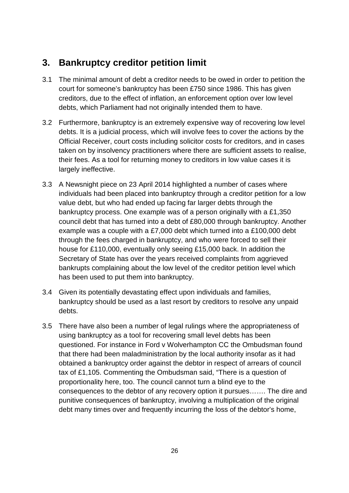# **3. Bankruptcy creditor petition limit**

- 3.1 The minimal amount of debt a creditor needs to be owed in order to petition the court for someone's bankruptcy has been £750 since 1986. This has given creditors, due to the effect of inflation, an enforcement option over low level debts, which Parliament had not originally intended them to have.
- 3.2 Furthermore, bankruptcy is an extremely expensive way of recovering low level debts. It is a judicial process, which will involve fees to cover the actions by the Official Receiver, court costs including solicitor costs for creditors, and in cases taken on by insolvency practitioners where there are sufficient assets to realise, their fees. As a tool for returning money to creditors in low value cases it is largely ineffective.
- 3.3 A Newsnight piece on 23 April 2014 highlighted a number of cases where individuals had been placed into bankruptcy through a creditor petition for a low value debt, but who had ended up facing far larger debts through the bankruptcy process. One example was of a person originally with a £1,350 council debt that has turned into a debt of £80,000 through bankruptcy. Another example was a couple with a £7,000 debt which turned into a £100,000 debt through the fees charged in bankruptcy, and who were forced to sell their house for £110,000, eventually only seeing £15,000 back. In addition the Secretary of State has over the years received complaints from aggrieved bankrupts complaining about the low level of the creditor petition level which has been used to put them into bankruptcy.
- 3.4 Given its potentially devastating effect upon individuals and families, bankruptcy should be used as a last resort by creditors to resolve any unpaid debts.
- 3.5 There have also been a number of legal rulings where the appropriateness of using bankruptcy as a tool for recovering small level debts has been questioned. For instance in Ford v Wolverhampton CC the Ombudsman found that there had been maladministration by the local authority insofar as it had obtained a bankruptcy order against the debtor in respect of arrears of council tax of £1,105. Commenting the Ombudsman said, "There is a question of proportionality here, too. The council cannot turn a blind eye to the consequences to the debtor of any recovery option it pursues……. The dire and punitive consequences of bankruptcy, involving a multiplication of the original debt many times over and frequently incurring the loss of the debtor's home,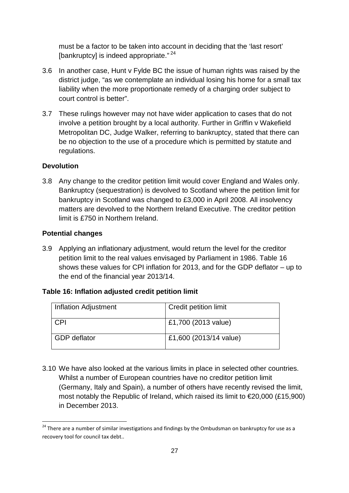must be a factor to be taken into account in deciding that the 'last resort' [bankruptcy] is indeed appropriate." $24$ 

- 3.6 In another case, Hunt v Fylde BC the issue of human rights was raised by the district judge, "as we contemplate an individual losing his home for a small tax liability when the more proportionate remedy of a charging order subject to court control is better".
- 3.7 These rulings however may not have wider application to cases that do not involve a petition brought by a local authority. Further in Griffin v Wakefield Metropolitan DC, Judge Walker, referring to bankruptcy, stated that there can be no objection to the use of a procedure which is permitted by statute and regulations.

## **Devolution**

3.8 Any change to the creditor petition limit would cover England and Wales only. Bankruptcy (sequestration) is devolved to Scotland where the petition limit for bankruptcy in Scotland was changed to £3,000 in April 2008. All insolvency matters are devolved to the Northern Ireland Executive. The creditor petition limit is £750 in Northern Ireland.

#### **Potential changes**

 $\overline{\phantom{0}}$ 

3.9 Applying an inflationary adjustment, would return the level for the creditor petition limit to the real values envisaged by Parliament in 1986. Table 16 shows these values for CPI inflation for 2013, and for the GDP deflator – up to the end of the financial year 2013/14.

#### **Table 16: Inflation adjusted credit petition limit**

| <b>Inflation Adjustment</b> | Credit petition limit  |
|-----------------------------|------------------------|
| CPI                         | £1,700 (2013 value)    |
| <b>GDP</b> deflator         | £1,600 (2013/14 value) |

3.10 We have also looked at the various limits in place in selected other countries. Whilst a number of European countries have no creditor petition limit (Germany, Italy and Spain), a number of others have recently revised the limit, most notably the Republic of Ireland, which raised its limit to €20,000 (£15,900) in December 2013.

<sup>&</sup>lt;sup>24</sup> There are a number of similar investigations and findings by the Ombudsman on bankruptcy for use as a recovery tool for council tax debt..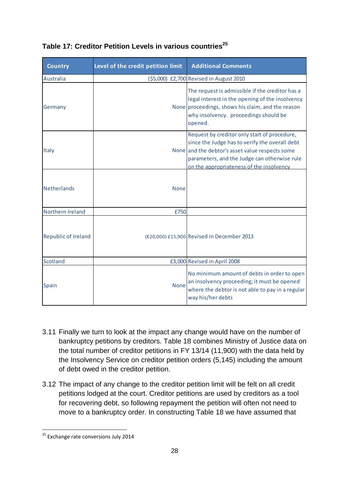| <b>Country</b>      | Level of the credit petition limit | <b>Additional Comments</b>                                                                                                                                                                                                                    |
|---------------------|------------------------------------|-----------------------------------------------------------------------------------------------------------------------------------------------------------------------------------------------------------------------------------------------|
| Australia           |                                    | (\$5,000) £2,700 Revised in August 2010                                                                                                                                                                                                       |
| Germany             |                                    | The request is admissible if the creditor has a<br>legal interest in the opening of the insolvency<br>None proceedings, shows his claim, and the reason<br>why insolvency. proceedings should be<br>opened.                                   |
| Italy               |                                    | Request by creditor only start of procedure,<br>since the Judge has to verify the overall debt<br>None and the debtor's asset value respects some<br>parameters, and the Judge can otherwise rule<br>on the appropriateness of the insolvency |
| <b>Netherlands</b>  | <b>None</b>                        |                                                                                                                                                                                                                                               |
| Northern Ireland    | £750                               |                                                                                                                                                                                                                                               |
| Republic of Ireland |                                    | (€20,000) £15,900 Revised in December 2013                                                                                                                                                                                                    |
| Scotland            |                                    | £3,000 Revised in April 2008                                                                                                                                                                                                                  |
| <b>Spain</b>        | None                               | No minimum amount of debts in order to open<br>an insolvency proceeding; it must be opened<br>where the debtor is not able to pay in a regular<br>way his/her debts                                                                           |

## **Table 17: Creditor Petition Levels in various countries<sup>25</sup>**

- 3.11 Finally we turn to look at the impact any change would have on the number of bankruptcy petitions by creditors. Table 18 combines Ministry of Justice data on the total number of creditor petitions in FY 13/14 (11,900) with the data held by the Insolvency Service on creditor petition orders (5,145) including the amount of debt owed in the creditor petition.
- 3.12 The impact of any change to the creditor petition limit will be felt on all credit petitions lodged at the court. Creditor petitions are used by creditors as a tool for recovering debt, so following repayment the petition will often not need to move to a bankruptcy order. In constructing Table 18 we have assumed that

l

<sup>&</sup>lt;sup>25</sup> Exchange rate conversions July 2014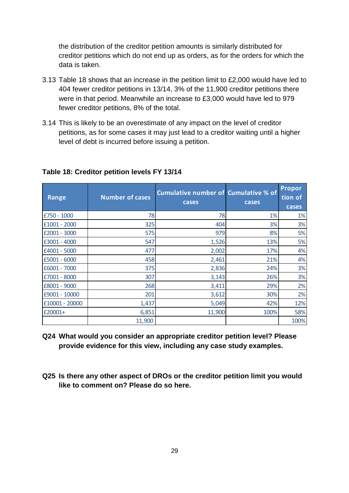the distribution of the creditor petition amounts is similarly distributed for creditor petitions which do not end up as orders, as for the orders for which the data is taken.

- 3.13 Table 18 shows that an increase in the petition limit to £2,000 would have led to 404 fewer creditor petitions in 13/14, 3% of the 11,900 creditor petitions there were in that period. Meanwhile an increase to £3,000 would have led to 979 fewer creditor petitions, 8% of the total.
- 3.14 This is likely to be an overestimate of any impact on the level of creditor petitions, as for some cases it may just lead to a creditor waiting until a higher level of debt is incurred before issuing a petition.

| <b>Range</b>   | <b>Number of cases</b> | <b>Cumulative number of Cumulative % of</b><br>cases | cases | <b>Propor</b><br>tion of<br>cases |
|----------------|------------------------|------------------------------------------------------|-------|-----------------------------------|
| £750 - 1000    | 78                     | 78                                                   | 1%    | 1%                                |
| £1001 - 2000   | 325                    | 404                                                  | 3%    | 3%                                |
| £2001 - 3000   | 575                    | 979                                                  | 8%    | 5%                                |
| £3001 - 4000   | 547                    | 1,526                                                | 13%   | 5%                                |
| £4001 - 5000   | 477                    | 2,002                                                | 17%   | 4%                                |
| £5001 - 6000   | 458                    | 2,461                                                | 21%   | 4%                                |
| £6001 - 7000   | 375                    | 2,836                                                | 24%   | 3%                                |
| £7001 - 8000   | 307                    | 3,143                                                | 26%   | 3%                                |
| £8001 - 9000   | 268                    | 3,411                                                | 29%   | 2%                                |
| £9001 - 10000  | 201                    | 3,612                                                | 30%   | 2%                                |
| £10001 - 20000 | 1,437                  | 5,049                                                | 42%   | 12%                               |
| £20001+        | 6,851                  | 11,900                                               | 100%  | 58%                               |
|                | 11,900                 |                                                      |       | 100%                              |

#### **Table 18: Creditor petition levels FY 13/14**

- **Q24 What would you consider an appropriate creditor petition level? Please provide evidence for this view, including any case study examples.**
- **Q25 Is there any other aspect of DROs or the creditor petition limit you would like to comment on? Please do so here.**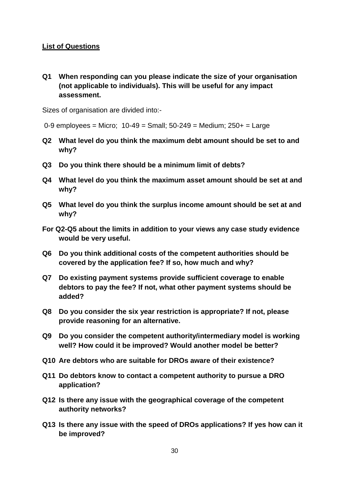### **List of Questions**

**Q1 When responding can you please indicate the size of your organisation (not applicable to individuals). This will be useful for any impact assessment.** 

Sizes of organisation are divided into:-

 $0-9$  employees = Micro;  $10-49$  = Small;  $50-249$  = Medium;  $250+$  = Large

- **Q2 What level do you think the maximum debt amount should be set to and why?**
- **Q3 Do you think there should be a minimum limit of debts?**
- **Q4 What level do you think the maximum asset amount should be set at and why?**
- **Q5 What level do you think the surplus income amount should be set at and why?**
- **For Q2-Q5 about the limits in addition to your views any case study evidence would be very useful.**
- **Q6 Do you think additional costs of the competent authorities should be covered by the application fee? If so, how much and why?**
- **Q7 Do existing payment systems provide sufficient coverage to enable debtors to pay the fee? If not, what other payment systems should be added?**
- **Q8 Do you consider the six year restriction is appropriate? If not, please provide reasoning for an alternative.**
- **Q9 Do you consider the competent authority/intermediary model is working well? How could it be improved? Would another model be better?**
- **Q10 Are debtors who are suitable for DROs aware of their existence?**
- **Q11 Do debtors know to contact a competent authority to pursue a DRO application?**
- **Q12 Is there any issue with the geographical coverage of the competent authority networks?**
- **Q13 Is there any issue with the speed of DROs applications? If yes how can it be improved?**